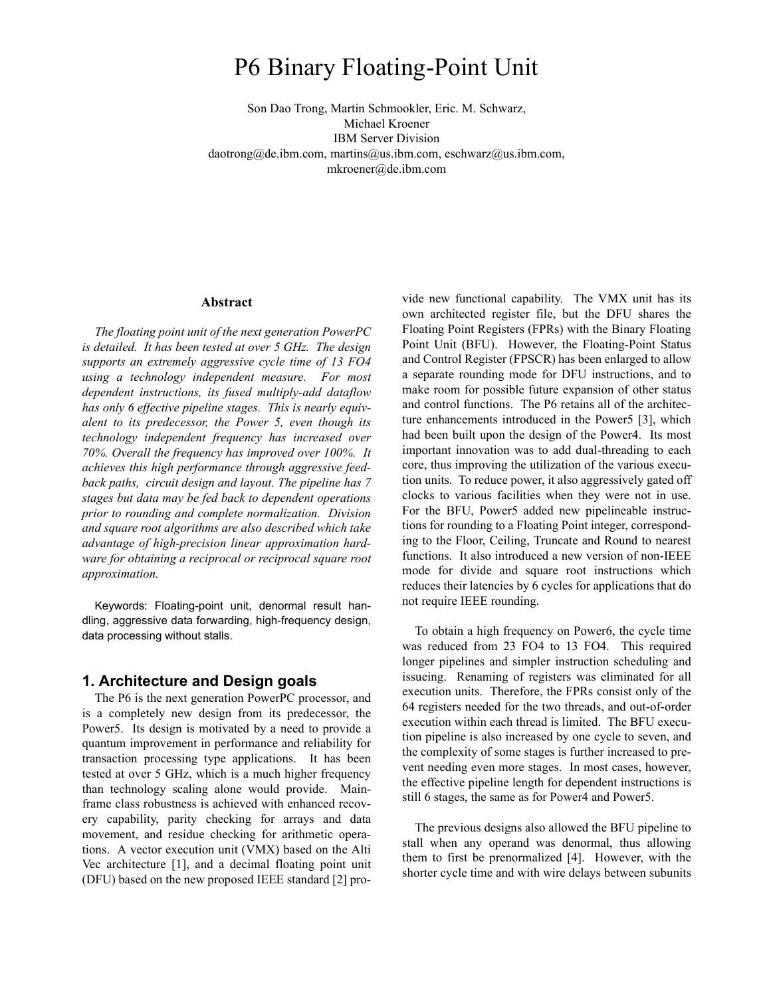# P6 Binary Floating-Point Unit

Son Dao Trong, Martin Schmookler, Eric. M. Schwarz, Michael Kroener IBM Server Division daotrong@de.ibm.com, martins@us.ibm.com, eschwarz@us.ibm.com, mkroener@de.ibm.com

#### **Abstract**

*The floating point unit of the next generation PowerPC is detailed. It has been tested at over 5 GHz. The design supports an extremely aggressive cycle time of 13 FO4 using a technology independent measure. For most dependent instructions, its fused multiply-add dataflow has only 6 effective pipeline stages. This is nearly equivalent to its predecessor, the Power 5, even though its technology independent frequency has increased over 70%. Overall the frequency has improved over 100%. It achieves this high performance through aggressive feedback paths, circuit design and layout. The pipeline has 7 stages but data may be fed back to dependent operations prior to rounding and complete normalization. Division and square root algorithms are also described which take advantage of high-precision linear approximation hardware for obtaining a reciprocal or reciprocal square root approximation.*

Keywords: Floating-point unit, denormal result handling, aggressive data forwarding, high-frequency design, data processing without stalls.

#### **1. Architecture and Design goals**

The P6 is the next generation PowerPC processor, and is a completely new design from its predecessor, the Power5. Its design is motivated by a need to provide a quantum improvement in performance and reliability for transaction processing type applications. It has been tested at over 5 GHz, which is a much higher frequency than technology scaling alone would provide. Mainframe class robustness is achieved with enhanced recovery capability, parity checking for arrays and data movement, and residue checking for arithmetic operations. A vector execution unit (VMX) based on the Alti Vec architecture [1], and a decimal floating point unit (DFU) based on the new proposed IEEE standard [2] pro-

vide new functional capability. The VMX unit has its own architected register file, but the DFU shares the Floating Point Registers (FPRs) with the Binary Floating Point Unit (BFU). However, the Floating-Point Status and Control Register (FPSCR) has been enlarged to allow a separate rounding mode for DFU instructions, and to make room for possible future expansion of other status and control functions. The P6 retains all of the architecture enhancements introduced in the Power5 [3], which had been built upon the design of the Power4. Its most important innovation was to add dual-threading to each core, thus improving the utilization of the various execution units. To reduce power, it also aggressively gated off clocks to various facilities when they were not in use. For the BFU, Power5 added new pipelineable instructions for rounding to a Floating Point integer, corresponding to the Floor, Ceiling, Truncate and Round to nearest functions. It also introduced a new version of non-IEEE mode for divide and square root instructions which reduces their latencies by 6 cycles for applications that do not require IEEE rounding.

To obtain a high frequency on Power6, the cycle time was reduced from 23 FO4 to 13 FO4. This required longer pipelines and simpler instruction scheduling and issueing. Renaming of registers was eliminated for all execution units. Therefore, the FPRs consist only of the 64 registers needed for the two threads, and out-of-order execution within each thread is limited. The BFU execution pipeline is also increased by one cycle to seven, and the complexity of some stages is further increased to prevent needing even more stages. In most cases, however, the effective pipeline length for dependent instructions is still 6 stages, the same as for Power4 and Power5.

The previous designs also allowed the BFU pipeline to stall when any operand was denormal, thus allowing them to first be prenormalized [4]. However, with the shorter cycle time and with wire delays between subunits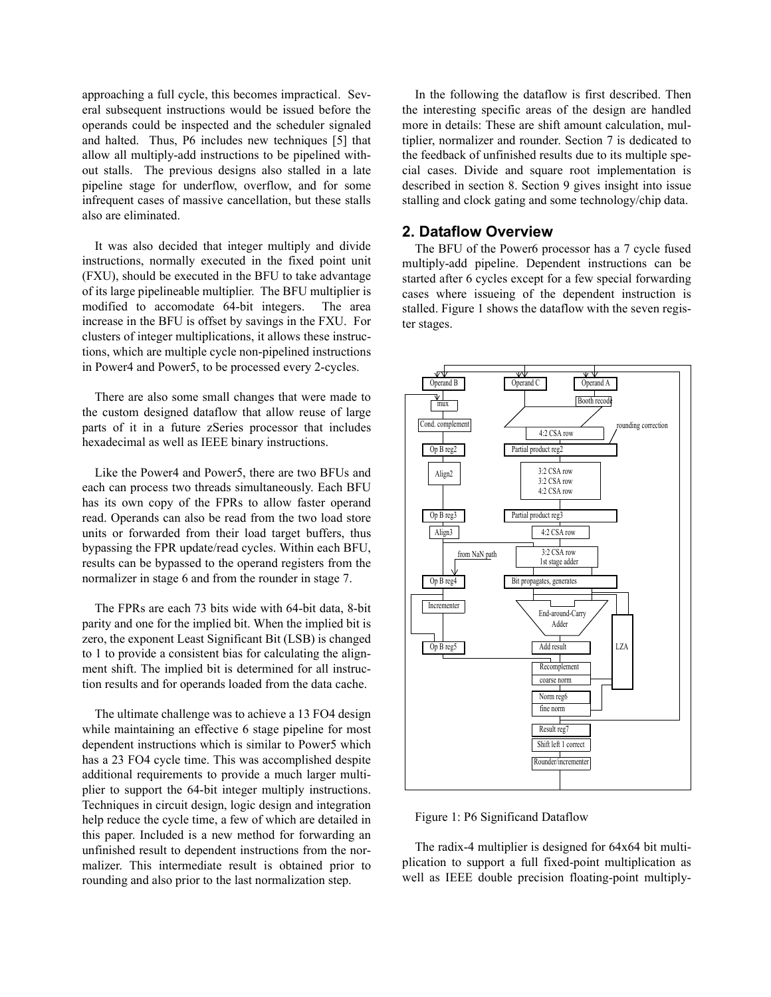approaching a full cycle, this becomes impractical. Several subsequent instructions would be issued before the operands could be inspected and the scheduler signaled and halted. Thus, P6 includes new techniques [5] that allow all multiply-add instructions to be pipelined without stalls. The previous designs also stalled in a late pipeline stage for underflow, overflow, and for some infrequent cases of massive cancellation, but these stalls also are eliminated.

It was also decided that integer multiply and divide instructions, normally executed in the fixed point unit (FXU), should be executed in the BFU to take advantage of its large pipelineable multiplier. The BFU multiplier is modified to accomodate 64-bit integers. The area increase in the BFU is offset by savings in the FXU. For clusters of integer multiplications, it allows these instructions, which are multiple cycle non-pipelined instructions in Power4 and Power5, to be processed every 2-cycles.

There are also some small changes that were made to the custom designed dataflow that allow reuse of large parts of it in a future zSeries processor that includes hexadecimal as well as IEEE binary instructions.

Like the Power4 and Power5, there are two BFUs and each can process two threads simultaneously. Each BFU has its own copy of the FPRs to allow faster operand read. Operands can also be read from the two load store units or forwarded from their load target buffers, thus bypassing the FPR update/read cycles. Within each BFU, results can be bypassed to the operand registers from the normalizer in stage 6 and from the rounder in stage 7.

The FPRs are each 73 bits wide with 64-bit data, 8-bit parity and one for the implied bit. When the implied bit is zero, the exponent Least Significant Bit (LSB) is changed to 1 to provide a consistent bias for calculating the alignment shift. The implied bit is determined for all instruction results and for operands loaded from the data cache.

The ultimate challenge was to achieve a 13 FO4 design while maintaining an effective 6 stage pipeline for most dependent instructions which is similar to Power5 which has a 23 FO4 cycle time. This was accomplished despite additional requirements to provide a much larger multiplier to support the 64-bit integer multiply instructions. Techniques in circuit design, logic design and integration help reduce the cycle time, a few of which are detailed in this paper. Included is a new method for forwarding an unfinished result to dependent instructions from the normalizer. This intermediate result is obtained prior to rounding and also prior to the last normalization step.

In the following the dataflow is first described. Then the interesting specific areas of the design are handled more in details: These are shift amount calculation, multiplier, normalizer and rounder. Section 7 is dedicated to the feedback of unfinished results due to its multiple special cases. Divide and square root implementation is described in section 8. Section 9 gives insight into issue stalling and clock gating and some technology/chip data.

## **2. Dataflow Overview**

The BFU of the Power6 processor has a 7 cycle fused multiply-add pipeline. Dependent instructions can be started after 6 cycles except for a few special forwarding cases where issueing of the dependent instruction is stalled. Figure 1 shows the dataflow with the seven register stages.



Figure 1: P6 Significand Dataflow

The radix-4 multiplier is designed for 64x64 bit multiplication to support a full fixed-point multiplication as well as IEEE double precision floating-point multiply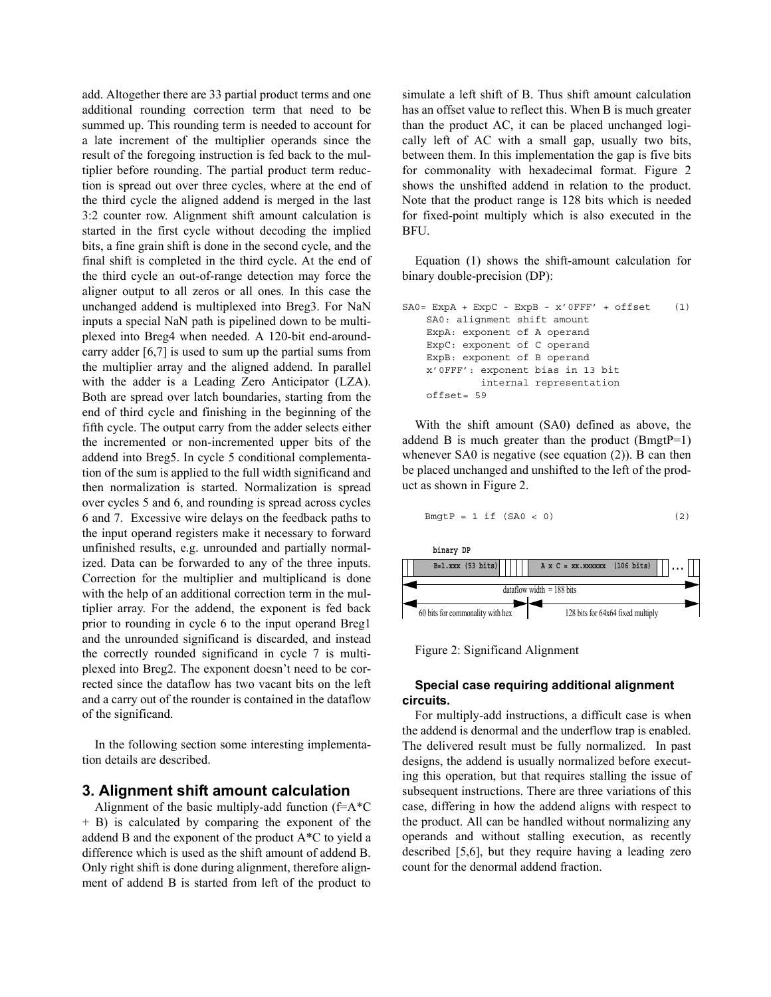add. Altogether there are 33 partial product terms and one additional rounding correction term that need to be summed up. This rounding term is needed to account for a late increment of the multiplier operands since the result of the foregoing instruction is fed back to the multiplier before rounding. The partial product term reduction is spread out over three cycles, where at the end of the third cycle the aligned addend is merged in the last 3:2 counter row. Alignment shift amount calculation is started in the first cycle without decoding the implied bits, a fine grain shift is done in the second cycle, and the final shift is completed in the third cycle. At the end of the third cycle an out-of-range detection may force the aligner output to all zeros or all ones. In this case the unchanged addend is multiplexed into Breg3. For NaN inputs a special NaN path is pipelined down to be multiplexed into Breg4 when needed. A 120-bit end-aroundcarry adder [6,7] is used to sum up the partial sums from the multiplier array and the aligned addend. In parallel with the adder is a Leading Zero Anticipator (LZA). Both are spread over latch boundaries, starting from the end of third cycle and finishing in the beginning of the fifth cycle. The output carry from the adder selects either the incremented or non-incremented upper bits of the addend into Breg5. In cycle 5 conditional complementation of the sum is applied to the full width significand and then normalization is started. Normalization is spread over cycles 5 and 6, and rounding is spread across cycles 6 and 7. Excessive wire delays on the feedback paths to the input operand registers make it necessary to forward unfinished results, e.g. unrounded and partially normalized. Data can be forwarded to any of the three inputs. Correction for the multiplier and multiplicand is done with the help of an additional correction term in the multiplier array. For the addend, the exponent is fed back prior to rounding in cycle 6 to the input operand Breg1 and the unrounded significand is discarded, and instead the correctly rounded significand in cycle 7 is multiplexed into Breg2. The exponent doesn't need to be corrected since the dataflow has two vacant bits on the left and a carry out of the rounder is contained in the dataflow of the significand.

In the following section some interesting implementation details are described.

#### **3. Alignment shift amount calculation**

Alignment of the basic multiply-add function ( $f = A*C$ + B) is calculated by comparing the exponent of the addend B and the exponent of the product A\*C to yield a difference which is used as the shift amount of addend B. Only right shift is done during alignment, therefore alignment of addend B is started from left of the product to

simulate a left shift of B. Thus shift amount calculation has an offset value to reflect this. When B is much greater than the product AC, it can be placed unchanged logically left of AC with a small gap, usually two bits, between them. In this implementation the gap is five bits for commonality with hexadecimal format. Figure 2 shows the unshifted addend in relation to the product. Note that the product range is 128 bits which is needed for fixed-point multiply which is also executed in the BFU.

Equation (1) shows the shift-amount calculation for binary double-precision (DP):

SA0= ExpA + ExpC - ExpB - x'0FFF' + offset (1) SA0: alignment shift amount ExpA: exponent of A operand ExpC: exponent of C operand ExpB: exponent of B operand x'0FFF': exponent bias in 13 bit internal representation offset= 59

With the shift amount (SA0) defined as above, the addend B is much greater than the product (BmgtP=1) whenever SA0 is negative (see equation (2)). B can then be placed unchanged and unshifted to the left of the product as shown in Figure 2.

$$
Bmg\texttt{tP} = 1 \text{ if } (SA0 < 0) \tag{2}
$$

**binary DP**



Figure 2: Significand Alignment

# **Special case requiring additional alignment circuits.**

For multiply-add instructions, a difficult case is when the addend is denormal and the underflow trap is enabled. The delivered result must be fully normalized. In past designs, the addend is usually normalized before executing this operation, but that requires stalling the issue of subsequent instructions. There are three variations of this case, differing in how the addend aligns with respect to the product. All can be handled without normalizing any operands and without stalling execution, as recently described [5,6], but they require having a leading zero count for the denormal addend fraction.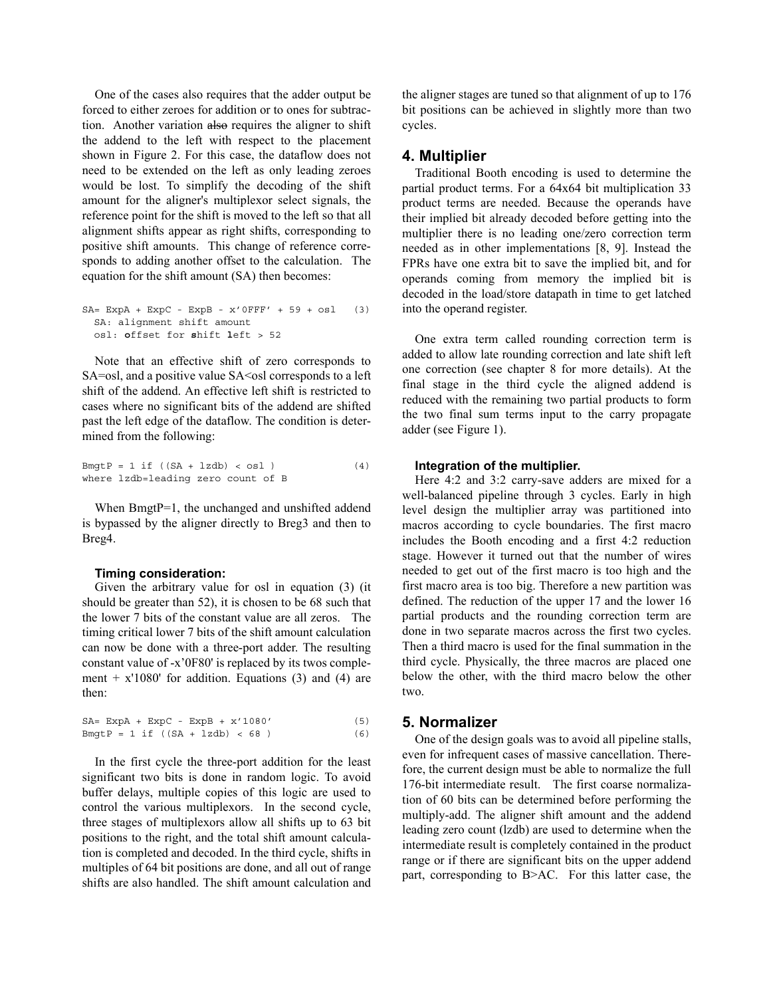One of the cases also requires that the adder output be forced to either zeroes for addition or to ones for subtraction. Another variation also requires the aligner to shift the addend to the left with respect to the placement shown in Figure 2. For this case, the dataflow does not need to be extended on the left as only leading zeroes would be lost. To simplify the decoding of the shift amount for the aligner's multiplexor select signals, the reference point for the shift is moved to the left so that all alignment shifts appear as right shifts, corresponding to positive shift amounts. This change of reference corresponds to adding another offset to the calculation. The equation for the shift amount (SA) then becomes:

```
SA = ExpA + ExpC - ExpB - x'0FFF' + 59 + os1 (3)
  SA: alignment shift amount
  osl: offset for shift left > 52
```
Note that an effective shift of zero corresponds to SA=osl, and a positive value SA<osl corresponds to a left shift of the addend. An effective left shift is restricted to cases where no significant bits of the addend are shifted past the left edge of the dataflow. The condition is determined from the following:

$$
BmgtP = 1 if ((SA + 1zdb) < os1) \tag{4}
$$
\nwhere 1zdb = leading zero count of B

When BmgtP=1, the unchanged and unshifted addend is bypassed by the aligner directly to Breg3 and then to Breg4.

#### **Timing consideration:**

Given the arbitrary value for osl in equation (3) (it should be greater than 52), it is chosen to be 68 such that the lower 7 bits of the constant value are all zeros. The timing critical lower 7 bits of the shift amount calculation can now be done with a three-port adder. The resulting constant value of -x'0F80' is replaced by its twos complement  $+ x'1080'$  for addition. Equations (3) and (4) are then:

$$
SA = ExpA + ExpC - ExpB + x'1080'
$$
 (5)  
 
$$
BmgtP = 1 if ((SA + 1zdb) < 68 )
$$
 (6)

In the first cycle the three-port addition for the least significant two bits is done in random logic. To avoid buffer delays, multiple copies of this logic are used to control the various multiplexors. In the second cycle, three stages of multiplexors allow all shifts up to 63 bit positions to the right, and the total shift amount calculation is completed and decoded. In the third cycle, shifts in multiples of 64 bit positions are done, and all out of range shifts are also handled. The shift amount calculation and

the aligner stages are tuned so that alignment of up to 176 bit positions can be achieved in slightly more than two cycles.

# **4. Multiplier**

Traditional Booth encoding is used to determine the partial product terms. For a 64x64 bit multiplication 33 product terms are needed. Because the operands have their implied bit already decoded before getting into the multiplier there is no leading one/zero correction term needed as in other implementations [8, 9]. Instead the FPRs have one extra bit to save the implied bit, and for operands coming from memory the implied bit is decoded in the load/store datapath in time to get latched into the operand register.

One extra term called rounding correction term is added to allow late rounding correction and late shift left one correction (see chapter 8 for more details). At the final stage in the third cycle the aligned addend is reduced with the remaining two partial products to form the two final sum terms input to the carry propagate adder (see Figure 1).

#### **Integration of the multiplier.**

Here 4:2 and 3:2 carry-save adders are mixed for a well-balanced pipeline through 3 cycles. Early in high level design the multiplier array was partitioned into macros according to cycle boundaries. The first macro includes the Booth encoding and a first 4:2 reduction stage. However it turned out that the number of wires needed to get out of the first macro is too high and the first macro area is too big. Therefore a new partition was defined. The reduction of the upper 17 and the lower 16 partial products and the rounding correction term are done in two separate macros across the first two cycles. Then a third macro is used for the final summation in the third cycle. Physically, the three macros are placed one below the other, with the third macro below the other two.

# **5. Normalizer**

One of the design goals was to avoid all pipeline stalls, even for infrequent cases of massive cancellation. Therefore, the current design must be able to normalize the full 176-bit intermediate result. The first coarse normalization of 60 bits can be determined before performing the multiply-add. The aligner shift amount and the addend leading zero count (lzdb) are used to determine when the intermediate result is completely contained in the product range or if there are significant bits on the upper addend part, corresponding to B>AC. For this latter case, the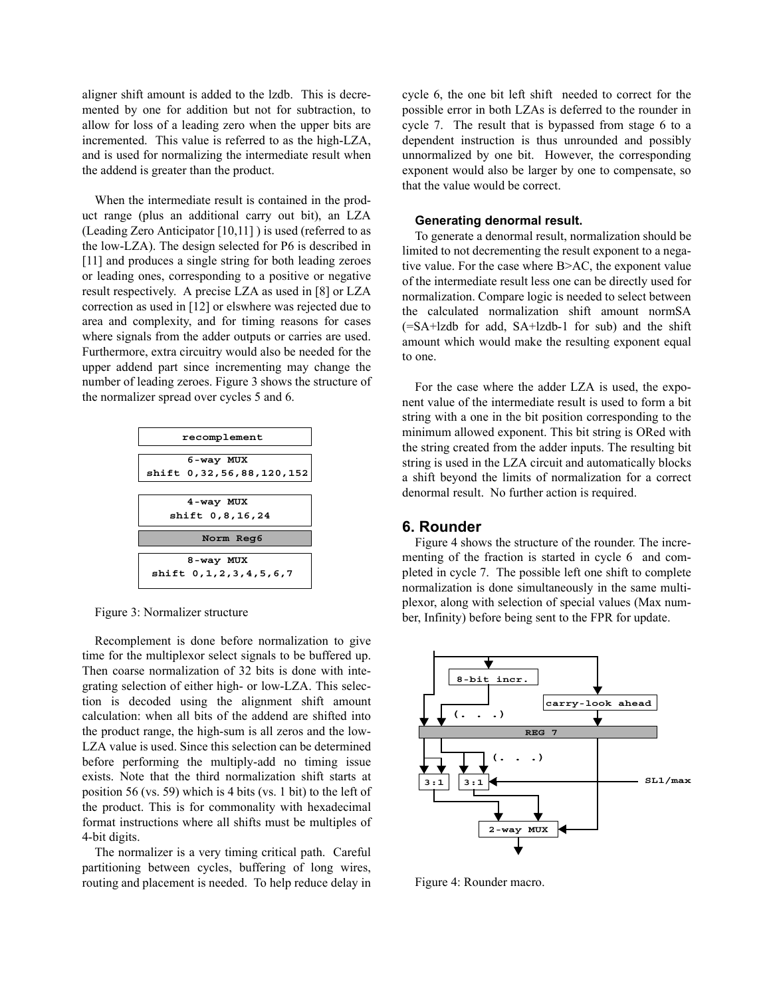aligner shift amount is added to the lzdb. This is decremented by one for addition but not for subtraction, to allow for loss of a leading zero when the upper bits are incremented. This value is referred to as the high-LZA, and is used for normalizing the intermediate result when the addend is greater than the product.

When the intermediate result is contained in the product range (plus an additional carry out bit), an LZA (Leading Zero Anticipator [10,11] ) is used (referred to as the low-LZA). The design selected for P6 is described in [11] and produces a single string for both leading zeroes or leading ones, corresponding to a positive or negative result respectively. A precise LZA as used in [8] or LZA correction as used in [12] or elswhere was rejected due to area and complexity, and for timing reasons for cases where signals from the adder outputs or carries are used. Furthermore, extra circuitry would also be needed for the upper addend part since incrementing may change the number of leading zeroes. Figure 3 shows the structure of the normalizer spread over cycles 5 and 6.



Figure 3: Normalizer structure

Recomplement is done before normalization to give time for the multiplexor select signals to be buffered up. Then coarse normalization of 32 bits is done with integrating selection of either high- or low-LZA. This selection is decoded using the alignment shift amount calculation: when all bits of the addend are shifted into the product range, the high-sum is all zeros and the low-LZA value is used. Since this selection can be determined before performing the multiply-add no timing issue exists. Note that the third normalization shift starts at position 56 (vs. 59) which is 4 bits (vs. 1 bit) to the left of the product. This is for commonality with hexadecimal format instructions where all shifts must be multiples of 4-bit digits.

The normalizer is a very timing critical path. Careful partitioning between cycles, buffering of long wires, routing and placement is needed. To help reduce delay in cycle 6, the one bit left shift needed to correct for the possible error in both LZAs is deferred to the rounder in cycle 7. The result that is bypassed from stage 6 to a dependent instruction is thus unrounded and possibly unnormalized by one bit. However, the corresponding exponent would also be larger by one to compensate, so that the value would be correct.

#### **Generating denormal result.**

To generate a denormal result, normalization should be limited to not decrementing the result exponent to a negative value. For the case where B>AC, the exponent value of the intermediate result less one can be directly used for normalization. Compare logic is needed to select between the calculated normalization shift amount normSA  $(=SA+1zdb$  for add,  $SA+1zdb-1$  for sub) and the shift amount which would make the resulting exponent equal to one.

For the case where the adder LZA is used, the exponent value of the intermediate result is used to form a bit string with a one in the bit position corresponding to the minimum allowed exponent. This bit string is ORed with the string created from the adder inputs. The resulting bit string is used in the LZA circuit and automatically blocks a shift beyond the limits of normalization for a correct denormal result. No further action is required.

# **6. Rounder**

Figure 4 shows the structure of the rounder. The incrementing of the fraction is started in cycle 6 and completed in cycle 7. The possible left one shift to complete normalization is done simultaneously in the same multiplexor, along with selection of special values (Max number, Infinity) before being sent to the FPR for update.



Figure 4: Rounder macro.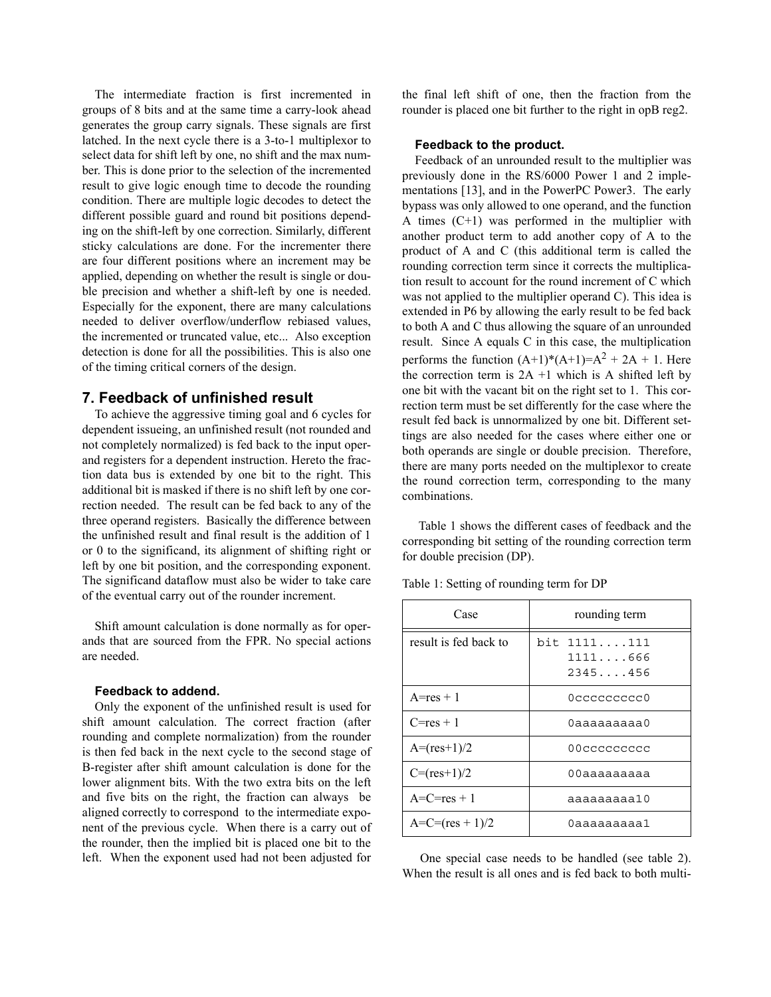The intermediate fraction is first incremented in groups of 8 bits and at the same time a carry-look ahead generates the group carry signals. These signals are first latched. In the next cycle there is a 3-to-1 multiplexor to select data for shift left by one, no shift and the max number. This is done prior to the selection of the incremented result to give logic enough time to decode the rounding condition. There are multiple logic decodes to detect the different possible guard and round bit positions depending on the shift-left by one correction. Similarly, different sticky calculations are done. For the incrementer there are four different positions where an increment may be applied, depending on whether the result is single or double precision and whether a shift-left by one is needed. Especially for the exponent, there are many calculations needed to deliver overflow/underflow rebiased values, the incremented or truncated value, etc... Also exception detection is done for all the possibilities. This is also one of the timing critical corners of the design.

# **7. Feedback of unfinished result**

To achieve the aggressive timing goal and 6 cycles for dependent issueing, an unfinished result (not rounded and not completely normalized) is fed back to the input operand registers for a dependent instruction. Hereto the fraction data bus is extended by one bit to the right. This additional bit is masked if there is no shift left by one correction needed. The result can be fed back to any of the three operand registers. Basically the difference between the unfinished result and final result is the addition of 1 or 0 to the significand, its alignment of shifting right or left by one bit position, and the corresponding exponent. The significand dataflow must also be wider to take care of the eventual carry out of the rounder increment.

Shift amount calculation is done normally as for operands that are sourced from the FPR. No special actions are needed.

#### **Feedback to addend.**

Only the exponent of the unfinished result is used for shift amount calculation. The correct fraction (after rounding and complete normalization) from the rounder is then fed back in the next cycle to the second stage of B-register after shift amount calculation is done for the lower alignment bits. With the two extra bits on the left and five bits on the right, the fraction can always be aligned correctly to correspond to the intermediate exponent of the previous cycle. When there is a carry out of the rounder, then the implied bit is placed one bit to the left. When the exponent used had not been adjusted for

the final left shift of one, then the fraction from the rounder is placed one bit further to the right in opB reg2.

#### **Feedback to the product.**

Feedback of an unrounded result to the multiplier was previously done in the RS/6000 Power 1 and 2 implementations [13], and in the PowerPC Power3. The early bypass was only allowed to one operand, and the function A times (C+1) was performed in the multiplier with another product term to add another copy of A to the product of A and C (this additional term is called the rounding correction term since it corrects the multiplication result to account for the round increment of C which was not applied to the multiplier operand C). This idea is extended in P6 by allowing the early result to be fed back to both A and C thus allowing the square of an unrounded result. Since A equals C in this case, the multiplication performs the function  $(A+1)^*(A+1)=A^2+2A+1$ . Here the correction term is  $2A + 1$  which is A shifted left by one bit with the vacant bit on the right set to 1. This correction term must be set differently for the case where the result fed back is unnormalized by one bit. Different settings are also needed for the cases where either one or both operands are single or double precision. Therefore, there are many ports needed on the multiplexor to create the round correction term, corresponding to the many combinations.

 Table 1 shows the different cases of feedback and the corresponding bit setting of the rounding correction term for double precision (DP).

| Case                  | rounding term                     |
|-----------------------|-----------------------------------|
| result is fed back to | bit 1111111<br>1111666<br>2345456 |
| $A = res + 1$         | 0 cccccccccc 0                    |
| $C = res + 1$         | 0aaaaaaaaa0                       |
| $A=(res+1)/2$         | 00 ccccccccc                      |
| $C=(res+1)/2$         | 00aaaaaaaaa                       |
| $A=C=res+1$           | aaaaaaaaa10                       |
| $A=C=(res + 1)/2$     | 0aaaaaaaaa1                       |

Table 1: Setting of rounding term for DP

 One special case needs to be handled (see table 2). When the result is all ones and is fed back to both multi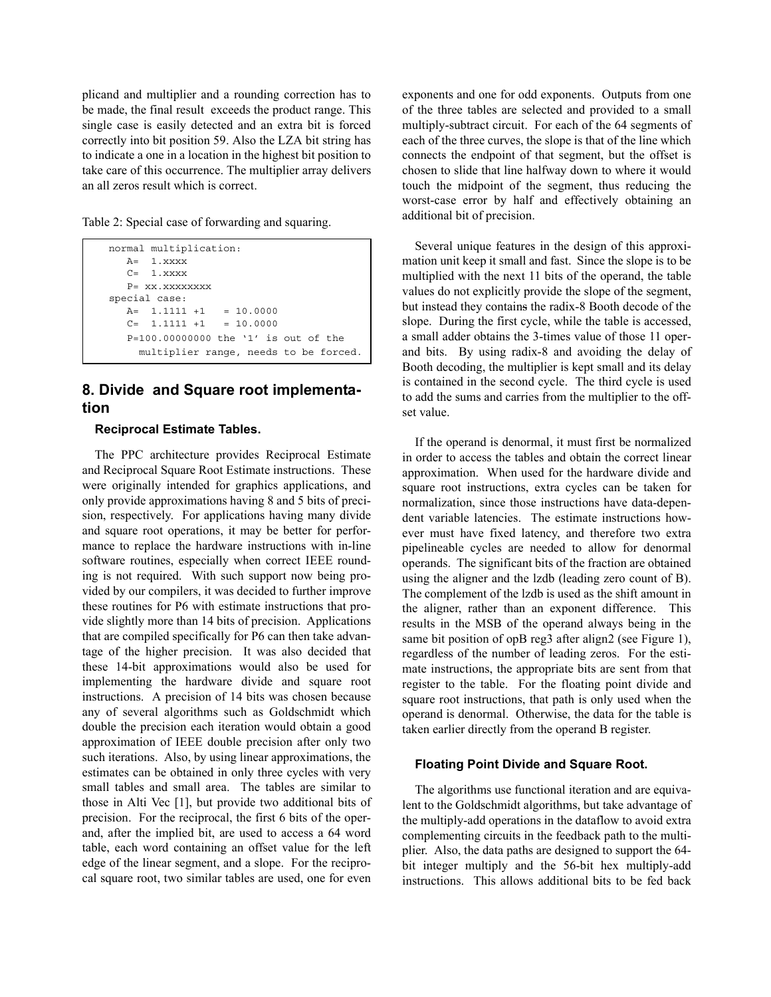plicand and multiplier and a rounding correction has to be made, the final result exceeds the product range. This single case is easily detected and an extra bit is forced correctly into bit position 59. Also the LZA bit string has to indicate a one in a location in the highest bit position to take care of this occurrence. The multiplier array delivers an all zeros result which is correct.

Table 2: Special case of forwarding and squaring.

```
normal multiplication:
   A= 1.xxxx
  C = 1.xxxP= xx.xxxxxxxx
special case:
   A= 1.1111 +1 = 10.0000
  C= 1.1111 +1 = 10.0000
   P=100.00000000 the '1' is out of the 
      multiplier range, needs to be forced.
```
# **8. Divide and Square root implementation**

## **Reciprocal Estimate Tables.**

The PPC architecture provides Reciprocal Estimate and Reciprocal Square Root Estimate instructions. These were originally intended for graphics applications, and only provide approximations having 8 and 5 bits of precision, respectively. For applications having many divide and square root operations, it may be better for performance to replace the hardware instructions with in-line software routines, especially when correct IEEE rounding is not required. With such support now being provided by our compilers, it was decided to further improve these routines for P6 with estimate instructions that provide slightly more than 14 bits of precision. Applications that are compiled specifically for P6 can then take advantage of the higher precision. It was also decided that these 14-bit approximations would also be used for implementing the hardware divide and square root instructions. A precision of 14 bits was chosen because any of several algorithms such as Goldschmidt which double the precision each iteration would obtain a good approximation of IEEE double precision after only two such iterations. Also, by using linear approximations, the estimates can be obtained in only three cycles with very small tables and small area. The tables are similar to those in Alti Vec [1], but provide two additional bits of precision. For the reciprocal, the first 6 bits of the operand, after the implied bit, are used to access a 64 word table, each word containing an offset value for the left edge of the linear segment, and a slope. For the reciprocal square root, two similar tables are used, one for even

exponents and one for odd exponents. Outputs from one of the three tables are selected and provided to a small multiply-subtract circuit. For each of the 64 segments of each of the three curves, the slope is that of the line which connects the endpoint of that segment, but the offset is chosen to slide that line halfway down to where it would touch the midpoint of the segment, thus reducing the worst-case error by half and effectively obtaining an additional bit of precision.

Several unique features in the design of this approximation unit keep it small and fast. Since the slope is to be multiplied with the next 11 bits of the operand, the table values do not explicitly provide the slope of the segment, but instead they contains the radix-8 Booth decode of the slope. During the first cycle, while the table is accessed, a small adder obtains the 3-times value of those 11 operand bits. By using radix-8 and avoiding the delay of Booth decoding, the multiplier is kept small and its delay is contained in the second cycle. The third cycle is used to add the sums and carries from the multiplier to the offset value.

If the operand is denormal, it must first be normalized in order to access the tables and obtain the correct linear approximation. When used for the hardware divide and square root instructions, extra cycles can be taken for normalization, since those instructions have data-dependent variable latencies. The estimate instructions however must have fixed latency, and therefore two extra pipelineable cycles are needed to allow for denormal operands. The significant bits of the fraction are obtained using the aligner and the lzdb (leading zero count of B). The complement of the lzdb is used as the shift amount in the aligner, rather than an exponent difference. This results in the MSB of the operand always being in the same bit position of opB reg3 after align2 (see Figure 1), regardless of the number of leading zeros. For the estimate instructions, the appropriate bits are sent from that register to the table. For the floating point divide and square root instructions, that path is only used when the operand is denormal. Otherwise, the data for the table is taken earlier directly from the operand B register.

#### **Floating Point Divide and Square Root.**

The algorithms use functional iteration and are equivalent to the Goldschmidt algorithms, but take advantage of the multiply-add operations in the dataflow to avoid extra complementing circuits in the feedback path to the multiplier. Also, the data paths are designed to support the 64 bit integer multiply and the 56-bit hex multiply-add instructions. This allows additional bits to be fed back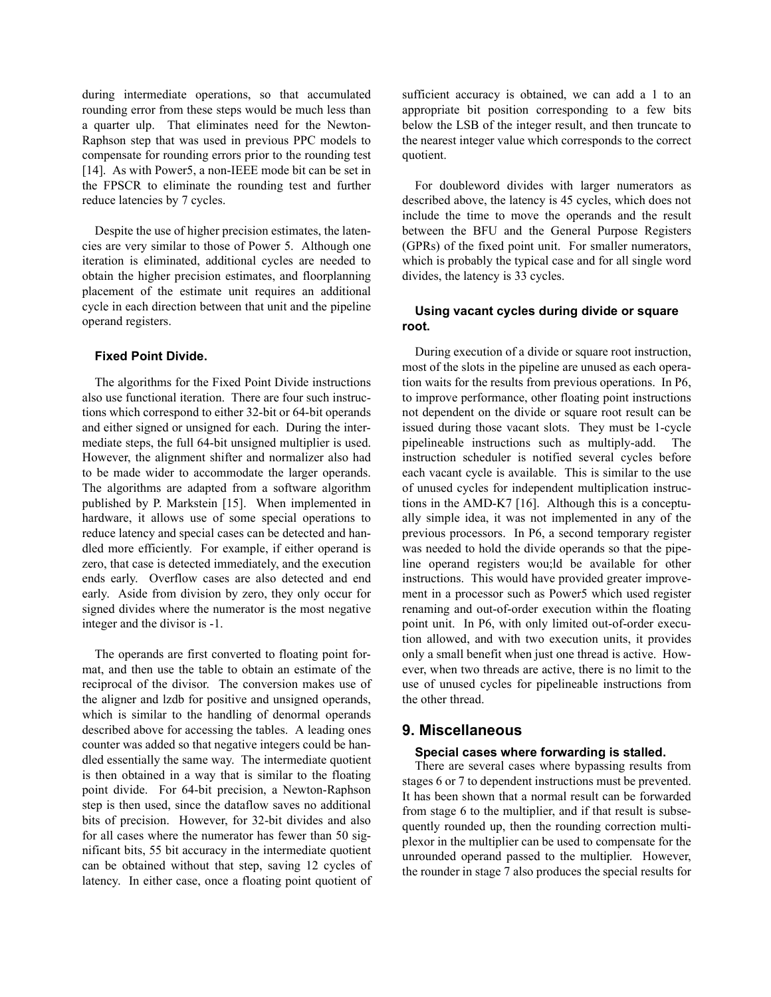during intermediate operations, so that accumulated rounding error from these steps would be much less than a quarter ulp. That eliminates need for the Newton-Raphson step that was used in previous PPC models to compensate for rounding errors prior to the rounding test [14]. As with Power5, a non-IEEE mode bit can be set in the FPSCR to eliminate the rounding test and further reduce latencies by 7 cycles.

Despite the use of higher precision estimates, the latencies are very similar to those of Power 5. Although one iteration is eliminated, additional cycles are needed to obtain the higher precision estimates, and floorplanning placement of the estimate unit requires an additional cycle in each direction between that unit and the pipeline operand registers.

#### **Fixed Point Divide.**

The algorithms for the Fixed Point Divide instructions also use functional iteration. There are four such instructions which correspond to either 32-bit or 64-bit operands and either signed or unsigned for each. During the intermediate steps, the full 64-bit unsigned multiplier is used. However, the alignment shifter and normalizer also had to be made wider to accommodate the larger operands. The algorithms are adapted from a software algorithm published by P. Markstein [15]. When implemented in hardware, it allows use of some special operations to reduce latency and special cases can be detected and handled more efficiently. For example, if either operand is zero, that case is detected immediately, and the execution ends early. Overflow cases are also detected and end early. Aside from division by zero, they only occur for signed divides where the numerator is the most negative integer and the divisor is -1.

The operands are first converted to floating point format, and then use the table to obtain an estimate of the reciprocal of the divisor. The conversion makes use of the aligner and lzdb for positive and unsigned operands, which is similar to the handling of denormal operands described above for accessing the tables. A leading ones counter was added so that negative integers could be handled essentially the same way. The intermediate quotient is then obtained in a way that is similar to the floating point divide. For 64-bit precision, a Newton-Raphson step is then used, since the dataflow saves no additional bits of precision. However, for 32-bit divides and also for all cases where the numerator has fewer than 50 significant bits, 55 bit accuracy in the intermediate quotient can be obtained without that step, saving 12 cycles of latency. In either case, once a floating point quotient of sufficient accuracy is obtained, we can add a 1 to an appropriate bit position corresponding to a few bits below the LSB of the integer result, and then truncate to the nearest integer value which corresponds to the correct quotient.

For doubleword divides with larger numerators as described above, the latency is 45 cycles, which does not include the time to move the operands and the result between the BFU and the General Purpose Registers (GPRs) of the fixed point unit. For smaller numerators, which is probably the typical case and for all single word divides, the latency is 33 cycles.

# **Using vacant cycles during divide or square root.**

During execution of a divide or square root instruction, most of the slots in the pipeline are unused as each operation waits for the results from previous operations. In P6, to improve performance, other floating point instructions not dependent on the divide or square root result can be issued during those vacant slots. They must be 1-cycle pipelineable instructions such as multiply-add. The instruction scheduler is notified several cycles before each vacant cycle is available. This is similar to the use of unused cycles for independent multiplication instructions in the AMD-K7 [16]. Although this is a conceptually simple idea, it was not implemented in any of the previous processors. In P6, a second temporary register was needed to hold the divide operands so that the pipeline operand registers wou;ld be available for other instructions. This would have provided greater improvement in a processor such as Power5 which used register renaming and out-of-order execution within the floating point unit. In P6, with only limited out-of-order execution allowed, and with two execution units, it provides only a small benefit when just one thread is active. However, when two threads are active, there is no limit to the use of unused cycles for pipelineable instructions from the other thread.

# **9. Miscellaneous**

#### **Special cases where forwarding is stalled.**

There are several cases where bypassing results from stages 6 or 7 to dependent instructions must be prevented. It has been shown that a normal result can be forwarded from stage 6 to the multiplier, and if that result is subsequently rounded up, then the rounding correction multiplexor in the multiplier can be used to compensate for the unrounded operand passed to the multiplier. However, the rounder in stage 7 also produces the special results for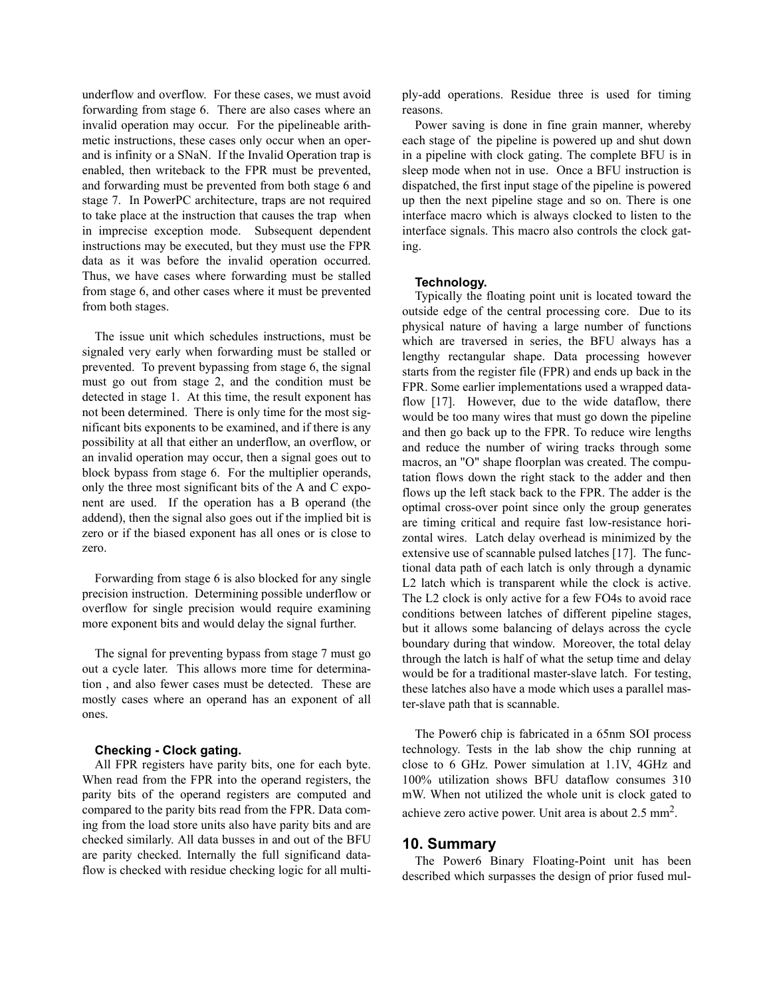underflow and overflow. For these cases, we must avoid forwarding from stage 6. There are also cases where an invalid operation may occur. For the pipelineable arithmetic instructions, these cases only occur when an operand is infinity or a SNaN. If the Invalid Operation trap is enabled, then writeback to the FPR must be prevented, and forwarding must be prevented from both stage 6 and stage 7. In PowerPC architecture, traps are not required to take place at the instruction that causes the trap when in imprecise exception mode. Subsequent dependent instructions may be executed, but they must use the FPR data as it was before the invalid operation occurred. Thus, we have cases where forwarding must be stalled from stage 6, and other cases where it must be prevented from both stages.

The issue unit which schedules instructions, must be signaled very early when forwarding must be stalled or prevented. To prevent bypassing from stage 6, the signal must go out from stage 2, and the condition must be detected in stage 1. At this time, the result exponent has not been determined. There is only time for the most significant bits exponents to be examined, and if there is any possibility at all that either an underflow, an overflow, or an invalid operation may occur, then a signal goes out to block bypass from stage 6. For the multiplier operands, only the three most significant bits of the A and C exponent are used. If the operation has a B operand (the addend), then the signal also goes out if the implied bit is zero or if the biased exponent has all ones or is close to zero.

Forwarding from stage 6 is also blocked for any single precision instruction. Determining possible underflow or overflow for single precision would require examining more exponent bits and would delay the signal further.

The signal for preventing bypass from stage 7 must go out a cycle later. This allows more time for determination , and also fewer cases must be detected. These are mostly cases where an operand has an exponent of all ones.

#### **Checking - Clock gating.**

All FPR registers have parity bits, one for each byte. When read from the FPR into the operand registers, the parity bits of the operand registers are computed and compared to the parity bits read from the FPR. Data coming from the load store units also have parity bits and are checked similarly. All data busses in and out of the BFU are parity checked. Internally the full significand dataflow is checked with residue checking logic for all multiply-add operations. Residue three is used for timing reasons.

Power saving is done in fine grain manner, whereby each stage of the pipeline is powered up and shut down in a pipeline with clock gating. The complete BFU is in sleep mode when not in use. Once a BFU instruction is dispatched, the first input stage of the pipeline is powered up then the next pipeline stage and so on. There is one interface macro which is always clocked to listen to the interface signals. This macro also controls the clock gating.

#### **Technology.**

Typically the floating point unit is located toward the outside edge of the central processing core. Due to its physical nature of having a large number of functions which are traversed in series, the BFU always has a lengthy rectangular shape. Data processing however starts from the register file (FPR) and ends up back in the FPR. Some earlier implementations used a wrapped dataflow [17]. However, due to the wide dataflow, there would be too many wires that must go down the pipeline and then go back up to the FPR. To reduce wire lengths and reduce the number of wiring tracks through some macros, an "O" shape floorplan was created. The computation flows down the right stack to the adder and then flows up the left stack back to the FPR. The adder is the optimal cross-over point since only the group generates are timing critical and require fast low-resistance horizontal wires. Latch delay overhead is minimized by the extensive use of scannable pulsed latches [17]. The functional data path of each latch is only through a dynamic L2 latch which is transparent while the clock is active. The L2 clock is only active for a few FO4s to avoid race conditions between latches of different pipeline stages, but it allows some balancing of delays across the cycle boundary during that window. Moreover, the total delay through the latch is half of what the setup time and delay would be for a traditional master-slave latch. For testing, these latches also have a mode which uses a parallel master-slave path that is scannable.

The Power6 chip is fabricated in a 65nm SOI process technology. Tests in the lab show the chip running at close to 6 GHz. Power simulation at 1.1V, 4GHz and 100% utilization shows BFU dataflow consumes 310 mW. When not utilized the whole unit is clock gated to achieve zero active power. Unit area is about 2.5 mm2.

# **10. Summary**

The Power6 Binary Floating-Point unit has been described which surpasses the design of prior fused mul